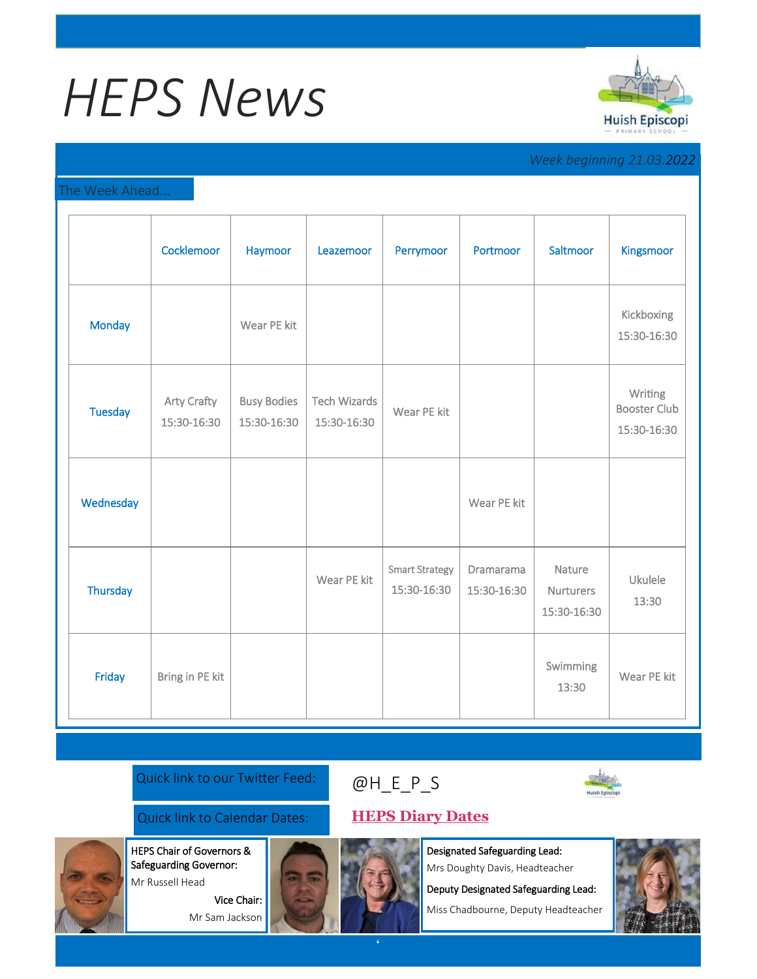# *HEPS News*



### *Week beginning 21.03.2022*

### The Week Ahead...

|                | Cocklemoor                        | Haymoor                           | Leazemoor                          | Perrymoor                            | Portmoor                 | Saltmoor                                  | Kingsmoor                                     |
|----------------|-----------------------------------|-----------------------------------|------------------------------------|--------------------------------------|--------------------------|-------------------------------------------|-----------------------------------------------|
| <b>Monday</b>  |                                   | Wear PE kit                       |                                    |                                      |                          |                                           | Kickboxing<br>15:30-16:30                     |
| <b>Tuesday</b> | <b>Arty Crafty</b><br>15:30-16:30 | <b>Busy Bodies</b><br>15:30-16:30 | <b>Tech Wizards</b><br>15:30-16:30 | Wear PE kit                          |                          |                                           | Writing<br><b>Booster Club</b><br>15:30-16:30 |
| Wednesday      |                                   |                                   |                                    |                                      | Wear PE kit              |                                           |                                               |
| Thursday       |                                   |                                   | Wear PE kit                        | <b>Smart Strategy</b><br>15:30-16:30 | Dramarama<br>15:30-16:30 | Nature<br><b>Nurturers</b><br>15:30-16:30 | Ukulele<br>13:30                              |
| Friday         | Bring in PE kit                   |                                   |                                    |                                      |                          | Swimming<br>13:30                         | Wear PE kit                                   |

Quick link to our Twitter Feed:

## [@H\\_E\\_](https://huishepiscopiprimary.co.uk/diary-dates/)P\_S



Quick link to Calendar Dates: **[HEPS Diary Dates](https://huishepiscopiprimary.co.uk/diary-dates/)**

Designated Safeguarding Lead:

Mrs Doughty Davis, Headteacher

Deputy Designated Safeguarding Lead:

Miss Chadbourne, Deputy Headteacher



**'**



HEPS Chair of Governors & Safeguarding Governor: Mr Russell Head Vice Chair:

Mr Sam Jackson